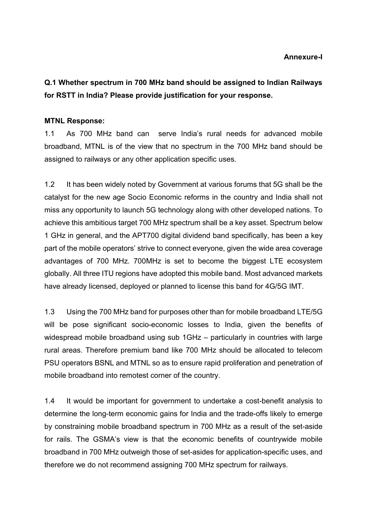#### Annexure-I

Q.1 Whether spectrum in 700 MHz band should be assigned to Indian Railways for RSTT in India? Please provide justification for your response.

#### MTNL Response:

1.1 As 700 MHz band can serve India's rural needs for advanced mobile broadband, MTNL is of the view that no spectrum in the 700 MHz band should be assigned to railways or any other application specific uses.

1.2 It has been widely noted by Government at various forums that 5G shall be the catalyst for the new age Socio Economic reforms in the country and India shall not miss any opportunity to launch 5G technology along with other developed nations. To achieve this ambitious target 700 MHz spectrum shall be a key asset. Spectrum below 1 GHz in general, and the APT700 digital dividend band specifically, has been a key part of the mobile operators' strive to connect everyone, given the wide area coverage advantages of 700 MHz. 700MHz is set to become the biggest LTE ecosystem globally. All three ITU regions have adopted this mobile band. Most advanced markets have already licensed, deployed or planned to license this band for 4G/5G IMT.

1.3 Using the 700 MHz band for purposes other than for mobile broadband LTE/5G will be pose significant socio-economic losses to India, given the benefits of widespread mobile broadband using sub 1GHz – particularly in countries with large rural areas. Therefore premium band like 700 MHz should be allocated to telecom PSU operators BSNL and MTNL so as to ensure rapid proliferation and penetration of mobile broadband into remotest corner of the country.

1.4 It would be important for government to undertake a cost-benefit analysis to determine the long-term economic gains for India and the trade-offs likely to emerge by constraining mobile broadband spectrum in 700 MHz as a result of the set-aside for rails. The GSMA's view is that the economic benefits of countrywide mobile broadband in 700 MHz outweigh those of set-asides for application-specific uses, and therefore we do not recommend assigning 700 MHz spectrum for railways.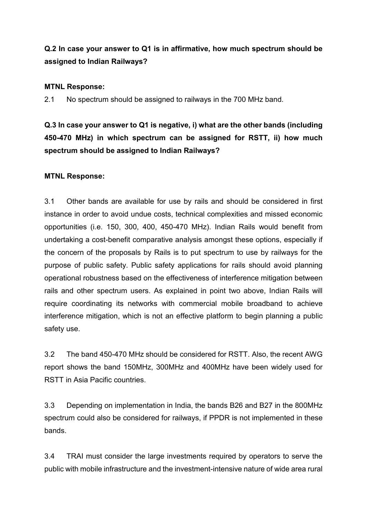## Q.2 In case your answer to Q1 is in affirmative, how much spectrum should be assigned to Indian Railways?

#### MTNL Response:

2.1 No spectrum should be assigned to railways in the 700 MHz band.

Q.3 In case your answer to Q1 is negative, i) what are the other bands (including 450-470 MHz) in which spectrum can be assigned for RSTT, ii) how much spectrum should be assigned to Indian Railways?

#### MTNL Response:

3.1 Other bands are available for use by rails and should be considered in first instance in order to avoid undue costs, technical complexities and missed economic opportunities (i.e. 150, 300, 400, 450-470 MHz). Indian Rails would benefit from undertaking a cost-benefit comparative analysis amongst these options, especially if the concern of the proposals by Rails is to put spectrum to use by railways for the purpose of public safety. Public safety applications for rails should avoid planning operational robustness based on the effectiveness of interference mitigation between rails and other spectrum users. As explained in point two above, Indian Rails will require coordinating its networks with commercial mobile broadband to achieve interference mitigation, which is not an effective platform to begin planning a public safety use.

3.2 The band 450-470 MHz should be considered for RSTT. Also, the recent AWG report shows the band 150MHz, 300MHz and 400MHz have been widely used for RSTT in Asia Pacific countries.

3.3 Depending on implementation in India, the bands B26 and B27 in the 800MHz spectrum could also be considered for railways, if PPDR is not implemented in these bands.

3.4 TRAI must consider the large investments required by operators to serve the public with mobile infrastructure and the investment-intensive nature of wide area rural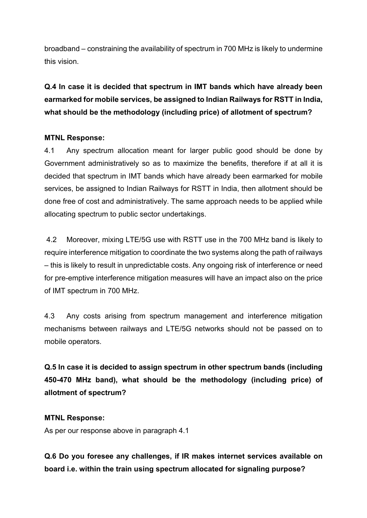broadband – constraining the availability of spectrum in 700 MHz is likely to undermine this vision.

# Q.4 In case it is decided that spectrum in IMT bands which have already been earmarked for mobile services, be assigned to Indian Railways for RSTT in India, what should be the methodology (including price) of allotment of spectrum?

## MTNL Response:

4.1 Any spectrum allocation meant for larger public good should be done by Government administratively so as to maximize the benefits, therefore if at all it is decided that spectrum in IMT bands which have already been earmarked for mobile services, be assigned to Indian Railways for RSTT in India, then allotment should be done free of cost and administratively. The same approach needs to be applied while allocating spectrum to public sector undertakings.

4.2 Moreover, mixing LTE/5G use with RSTT use in the 700 MHz band is likely to require interference mitigation to coordinate the two systems along the path of railways – this is likely to result in unpredictable costs. Any ongoing risk of interference or need for pre-emptive interference mitigation measures will have an impact also on the price of IMT spectrum in 700 MHz.

4.3 Any costs arising from spectrum management and interference mitigation mechanisms between railways and LTE/5G networks should not be passed on to mobile operators.

Q.5 In case it is decided to assign spectrum in other spectrum bands (including 450-470 MHz band), what should be the methodology (including price) of allotment of spectrum?

#### MTNL Response:

As per our response above in paragraph 4.1

Q.6 Do you foresee any challenges, if IR makes internet services available on board i.e. within the train using spectrum allocated for signaling purpose?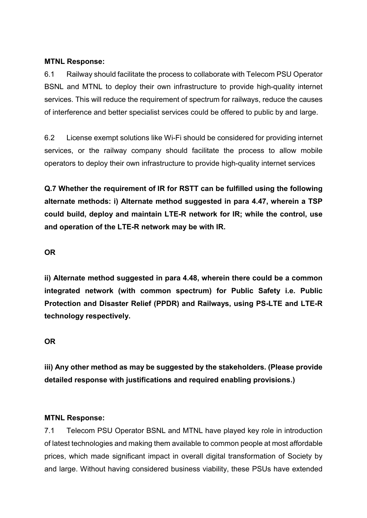#### MTNL Response:

6.1 Railway should facilitate the process to collaborate with Telecom PSU Operator BSNL and MTNL to deploy their own infrastructure to provide high-quality internet services. This will reduce the requirement of spectrum for railways, reduce the causes of interference and better specialist services could be offered to public by and large.

6.2 License exempt solutions like Wi-Fi should be considered for providing internet services, or the railway company should facilitate the process to allow mobile operators to deploy their own infrastructure to provide high-quality internet services

Q.7 Whether the requirement of IR for RSTT can be fulfilled using the following alternate methods: i) Alternate method suggested in para 4.47, wherein a TSP could build, deploy and maintain LTE-R network for IR; while the control, use and operation of the LTE-R network may be with IR.

## OR

ii) Alternate method suggested in para 4.48, wherein there could be a common integrated network (with common spectrum) for Public Safety i.e. Public Protection and Disaster Relief (PPDR) and Railways, using PS-LTE and LTE-R technology respectively.

#### OR

iii) Any other method as may be suggested by the stakeholders. (Please provide detailed response with justifications and required enabling provisions.)

#### MTNL Response:

7.1 Telecom PSU Operator BSNL and MTNL have played key role in introduction of latest technologies and making them available to common people at most affordable prices, which made significant impact in overall digital transformation of Society by and large. Without having considered business viability, these PSUs have extended